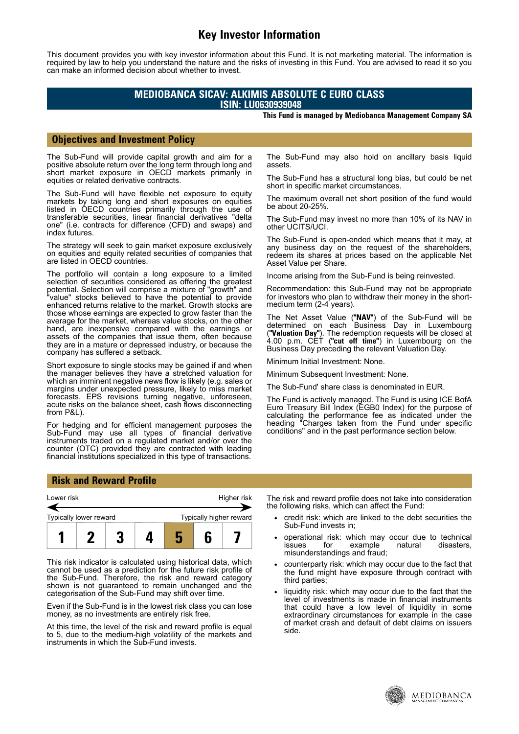# **Key Investor Information**

This document provides you with key investor information about this Fund. It is not marketing material. The information is required by law to help you understand the nature and the risks of investing in this Fund. You are advised to read it so you can make an informed decision about whether to invest.

## **MEDIOBANCA SICAV: ALKIMIS ABSOLUTE C EURO CLASS ISIN: LU0630939048**

#### **This Fund is managed by Mediobanca Management Company SA**

### **Objectives and Investment Policy**

The Sub-Fund will provide capital growth and aim for a positive absolute return over the long term through long and short market exposure in OECD markets primarily in equities or related derivative contracts.

The Sub-Fund will have flexible net exposure to equity markets by taking long and short exposures on equities listed in OECD countries primarily through the use of transferable securities, linear financial derivatives "delta one" (i.e. contracts for difference (CFD) and swaps) and index futures.

The strategy will seek to gain market exposure exclusively on equities and equity related securities of companies that are listed in OECD countries.

The portfolio will contain a long exposure to a limited selection of securities considered as offering the greatest potential. Selection will comprise a mixture of "growth" and "value" stocks believed to have the potential to provide enhanced returns relative to the market. Growth stocks are those whose earnings are expected to grow faster than the average for the market, whereas value stocks, on the other hand, are inexpensive compared with the earnings or assets of the companies that issue them, often because they are in a mature or depressed industry, or because the company has suffered a setback.

Short exposure to single stocks may be gained if and when the manager believes they have a stretched valuation for which an imminent negative news flow is likely (e.g. sales or margins under unexpected pressure, likely to miss market forecasts, EPS revisions turning negative, unforeseen, acute risks on the balance sheet, cash flows disconnecting from P&L).

For hedging and for efficient management purposes the Sub-Fund may use all types of financial derivative instruments traded on a regulated market and/or over the counter (OTC) provided they are contracted with leading financial institutions specialized in this type of transactions.

The Sub-Fund may also hold on ancillary basis liquid assets.

The Sub-Fund has a structural long bias, but could be net short in specific market circumstances.

The maximum overall net short position of the fund would be about 20-25%.

The Sub-Fund may invest no more than 10% of its NAV in other UCITS/UCI.

The Sub-Fund is open-ended which means that it may, at any business day on the request of the shareholders, redeem its shares at prices based on the applicable Net Asset Value per Share.

Income arising from the Sub-Fund is being reinvested.

Recommendation: this Sub-Fund may not be appropriate for investors who plan to withdraw their money in the shortmedium term (2-4 years).

The Net Asset Value (**"NAV"**) of the Sub-Fund will be determined on each Business Day in Luxembourg (**"Valuation Day"**). The redemption requests will be closed at 4.00 p.m. CET (**"cut off time"**) in Luxembourg on the Business Day preceding the relevant Valuation Day.

Minimum Initial Investment: None.

Minimum Subsequent Investment: None.

The Sub-Fund' share class is denominated in EUR.

The Fund is actively managed. The Fund is using ICE BofA Euro Treasury Bill Index (EGB0 Index) for the purpose of calculating the performance fee as indicated under the heading "Charges taken from the Fund under specific conditions" and in the past performance section below.

#### **Risk and Reward Profile**



This risk indicator is calculated using historical data, which cannot be used as a prediction for the future risk profile of the Sub-Fund. Therefore, the risk and reward category shown is not guaranteed to remain unchanged and the categorisation of the Sub-Fund may shift over time.

Even if the Sub-Fund is in the lowest risk class you can lose money, as no investments are entirely risk free.

At this time, the level of the risk and reward profile is equal to 5, due to the medium-high volatility of the markets and instruments in which the Sub-Fund invests.

The risk and reward profile does not take into consideration the following risks, which can affect the Fund:

- credit risk: which are linked to the debt securities the Sub-Fund invests in;
- operational risk: which may occur due to technical<br>issues for example natural disasters. issues for example natural disasters, misunderstandings and fraud;
- counterparty risk: which may occur due to the fact that the fund might have exposure through contract with third parties;
- liquidity risk: which may occur due to the fact that the level of investments is made in financial instruments that could have a low level of liquidity in some extraordinary circumstances for example in the case of market crash and default of debt claims on issuers side.